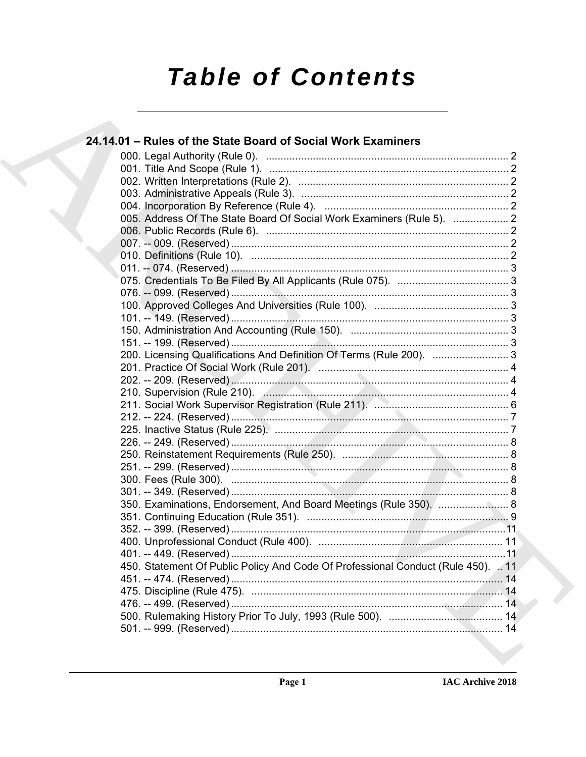# **Table of Contents**

| 24.14.01 - Rules of the State Board of Social Work Examiners                     |  |
|----------------------------------------------------------------------------------|--|
|                                                                                  |  |
|                                                                                  |  |
|                                                                                  |  |
|                                                                                  |  |
|                                                                                  |  |
| 005. Address Of The State Board Of Social Work Examiners (Rule 5).  2            |  |
|                                                                                  |  |
|                                                                                  |  |
|                                                                                  |  |
|                                                                                  |  |
|                                                                                  |  |
|                                                                                  |  |
|                                                                                  |  |
|                                                                                  |  |
|                                                                                  |  |
|                                                                                  |  |
| 200. Licensing Qualifications And Definition Of Terms (Rule 200).  3             |  |
|                                                                                  |  |
|                                                                                  |  |
|                                                                                  |  |
|                                                                                  |  |
|                                                                                  |  |
|                                                                                  |  |
|                                                                                  |  |
|                                                                                  |  |
|                                                                                  |  |
|                                                                                  |  |
|                                                                                  |  |
| 350. Examinations, Endorsement, And Board Meetings (Rule 350).  8                |  |
|                                                                                  |  |
|                                                                                  |  |
|                                                                                  |  |
|                                                                                  |  |
| 450. Statement Of Public Policy And Code Of Professional Conduct (Rule 450).  11 |  |
|                                                                                  |  |
|                                                                                  |  |
|                                                                                  |  |
|                                                                                  |  |
|                                                                                  |  |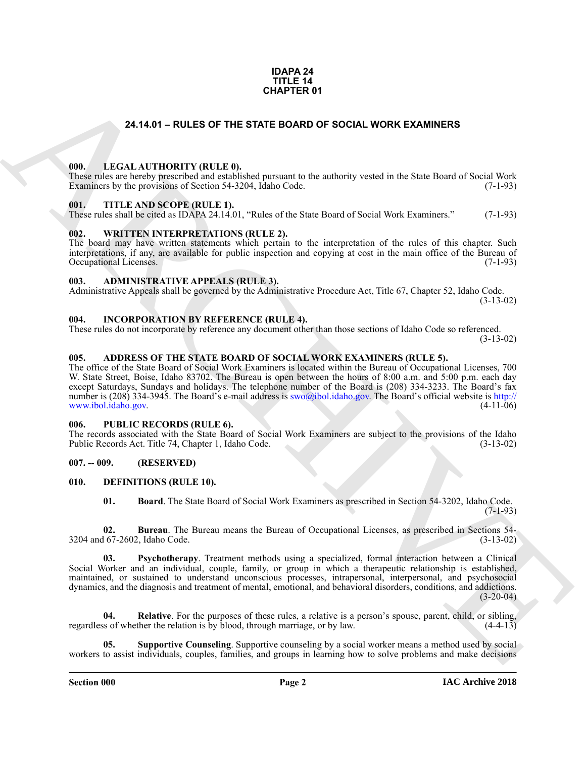#### **IDAPA 24 TITLE 14 CHAPTER 01**

#### **24.14.01 – RULES OF THE STATE BOARD OF SOCIAL WORK EXAMINERS**

#### <span id="page-1-19"></span><span id="page-1-1"></span><span id="page-1-0"></span>**000. LEGAL AUTHORITY (RULE 0).**

These rules are hereby prescribed and established pursuant to the authority vested in the State Board of Social Work Examiners by the provisions of Section 54-3204, Idaho Code. (7-1-93)

#### <span id="page-1-21"></span><span id="page-1-2"></span>**001. TITLE AND SCOPE (RULE 1).**

These rules shall be cited as IDAPA 24.14.01, "Rules of the State Board of Social Work Examiners." (7-1-93)

#### <span id="page-1-22"></span><span id="page-1-3"></span>**002. WRITTEN INTERPRETATIONS (RULE 2).**

The board may have written statements which pertain to the interpretation of the rules of this chapter. Such interpretations, if any, are available for public inspection and copying at cost in the main office of the Bureau of Occupational Licenses. (7-1-93) Occupational Licenses.

#### <span id="page-1-11"></span><span id="page-1-4"></span>**003. ADMINISTRATIVE APPEALS (RULE 3).**

Administrative Appeals shall be governed by the Administrative Procedure Act, Title 67, Chapter 52, Idaho Code. (3-13-02)

<span id="page-1-18"></span><span id="page-1-5"></span>**004. INCORPORATION BY REFERENCE (RULE 4).**

These rules do not incorporate by reference any document other than those sections of Idaho Code so referenced. (3-13-02)

#### <span id="page-1-10"></span><span id="page-1-6"></span>**005. ADDRESS OF THE STATE BOARD OF SOCIAL WORK EXAMINERS (RULE 5).**

**[CH](mailto:swo@ibol.idaho.gov)APTER 01**<br> **CHAPTER OF THE STATE BOARD OF SOCIAL WORK EXAMINERS**<br>
THE LACTIONTY (RULE B), and provain to the ambienty vended in the Star Dort of Social Work<br>
THE AND SCOPE (RULE H).<br>
THE AND SCOPE (RULE H).<br>
THE AND SC The office of the State Board of Social Work Examiners is located within the Bureau of Occupational Licenses, 700 W. State Street, Boise, Idaho 83702. The Bureau is open between the hours of 8:00 a.m. and 5:00 p.m. each day except Saturdays, Sundays and holidays. The telephone number of the Board is (208) 334-3233. The Board's fax number is (208) 334-3945. The Board's e-mail address is swo@ibol.idaho.gov. The Board's official website is http:// www.ibol.idaho.gov. (4-11-06)

#### <span id="page-1-20"></span><span id="page-1-7"></span>**006. PUBLIC RECORDS (RULE 6).**

The records associated with the State Board of Social Work Examiners are subject to the provisions of the Idaho Public Records Act. Title 74, Chapter 1, Idaho Code. (3-13-02)

#### <span id="page-1-8"></span>**007. -- 009. (RESERVED)**

#### <span id="page-1-9"></span>**010. DEFINITIONS (RULE 10).**

<span id="page-1-15"></span><span id="page-1-14"></span><span id="page-1-13"></span><span id="page-1-12"></span>**01. Board**. The State Board of Social Work Examiners as prescribed in Section 54-3202, Idaho Code. (7-1-93)

**02. Bureau**. The Bureau means the Bureau of Occupational Licenses, as prescribed in Sections 54- 3204 and 67-2602, Idaho Code. (3-13-02)

**03. Psychotherapy**. Treatment methods using a specialized, formal interaction between a Clinical Social Worker and an individual, couple, family, or group in which a therapeutic relationship is established, maintained, or sustained to understand unconscious processes, intrapersonal, interpersonal, and psychosocial dynamics, and the diagnosis and treatment of mental, emotional, and behavioral disorders, conditions, and addictions.  $(3-20-04)$ 

<span id="page-1-16"></span>**04.** Relative. For the purposes of these rules, a relative is a person's spouse, parent, child, or sibling, so of whether the relation is by blood, through marriage, or by law. (4-4-13) regardless of whether the relation is by blood, through marriage, or by law.

<span id="page-1-17"></span>**05. Supportive Counseling**. Supportive counseling by a social worker means a method used by social workers to assist individuals, couples, families, and groups in learning how to solve problems and make decisions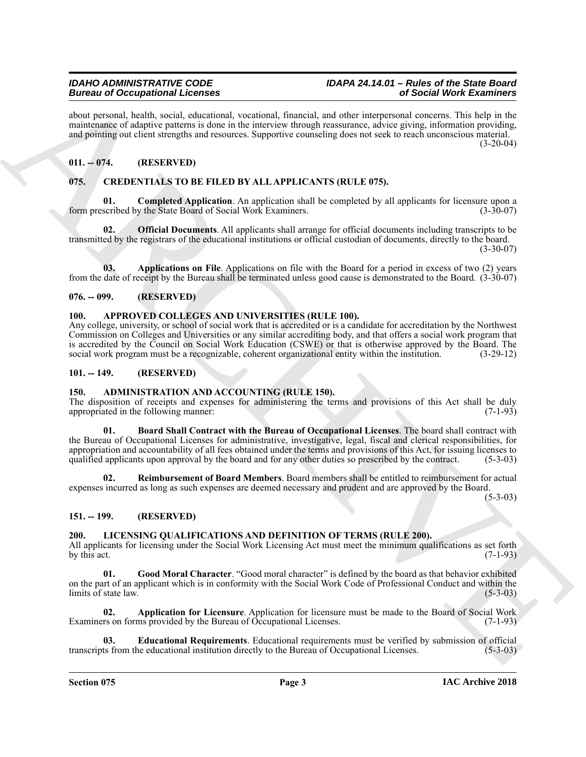about personal, health, social, educational, vocational, financial, and other interpersonal concerns. This help in the maintenance of adaptive patterns is done in the interview through reassurance, advice giving, information providing, and pointing out client strengths and resources. Supportive counseling does not seek to reach unconscious material.  $(3-20-04)$ 

#### <span id="page-2-0"></span>**011. -- 074. (RESERVED)**

#### <span id="page-2-12"></span><span id="page-2-1"></span>**075. CREDENTIALS TO BE FILED BY ALL APPLICANTS (RULE 075).**

<span id="page-2-14"></span>**Completed Application**. An application shall be completed by all applicants for licensure upon a y the State Board of Social Work Examiners. (3-30-07) form prescribed by the State Board of Social Work Examiners.

<span id="page-2-15"></span>**02. Official Documents**. All applicants shall arrange for official documents including transcripts to be transmitted by the registrars of the educational institutions or official custodian of documents, directly to the board.  $(3-30-07)$ 

<span id="page-2-13"></span>**03. Applications on File**. Applications on file with the Board for a period in excess of two (2) years from the date of receipt by the Bureau shall be terminated unless good cause is demonstrated to the Board. (3-30-07)

#### <span id="page-2-2"></span>**076. -- 099. (RESERVED)**

#### <span id="page-2-11"></span><span id="page-2-3"></span>**100. APPROVED COLLEGES AND UNIVERSITIES (RULE 100).**

Any college, university, or school of social work that is accredited or is a candidate for accreditation by the Northwest Commission on Colleges and Universities or any similar accrediting body, and that offers a social work program that is accredited by the Council on Social Work Education (CSWE) or that is otherwise approved by the Board. The social work program must be a recognizable, coherent organizational entity within the institution. (3-29-12)

#### <span id="page-2-4"></span>**101. -- 149. (RESERVED)**

#### <span id="page-2-8"></span><span id="page-2-5"></span>**150. ADMINISTRATION AND ACCOUNTING (RULE 150).**

<span id="page-2-9"></span>The disposition of receipts and expenses for administering the terms and provisions of this Act shall be duly appropriated in the following manner: (7-1-93)

Beaution Concernsional Licensis<br>
Analysis and showing the state of the state of the state of the state of the state of the state of the state of the state<br>
and provide the state of the state of the state of the state of t **01. Board Shall Contract with the Bureau of Occupational Licenses**. The board shall contract with the Bureau of Occupational Licenses for administrative, investigative, legal, fiscal and clerical responsibilities, for appropriation and accountability of all fees obtained under the terms and provisions of this Act, for issuing licenses to qualified applicants upon approval by the board and for any other duties so prescribed by the contract. (5-3-03)

<span id="page-2-10"></span>**02. Reimbursement of Board Members**. Board members shall be entitled to reimbursement for actual expenses incurred as long as such expenses are deemed necessary and prudent and are approved by the Board.

(5-3-03)

### <span id="page-2-6"></span>**151. -- 199. (RESERVED)**

### <span id="page-2-16"></span><span id="page-2-7"></span>**200. LICENSING QUALIFICATIONS AND DEFINITION OF TERMS (RULE 200).**

All applicants for licensing under the Social Work Licensing Act must meet the minimum qualifications as set forth by this act.  $(7-1-93)$ 

<span id="page-2-19"></span>**01. Good Moral Character**. "Good moral character" is defined by the board as that behavior exhibited on the part of an applicant which is in conformity with the Social Work Code of Professional Conduct and within the  $\lim$  limits of state law. (5-3-03)

<span id="page-2-17"></span>**02. Application for Licensure**. Application for licensure must be made to the Board of Social Work Examiners on forms provided by the Bureau of Occupational Licenses. (7-1-93)

<span id="page-2-18"></span>**03. Educational Requirements**. Educational requirements must be verified by submission of official transcripts from the educational institution directly to the Bureau of Occupational Licenses. (5-3-03)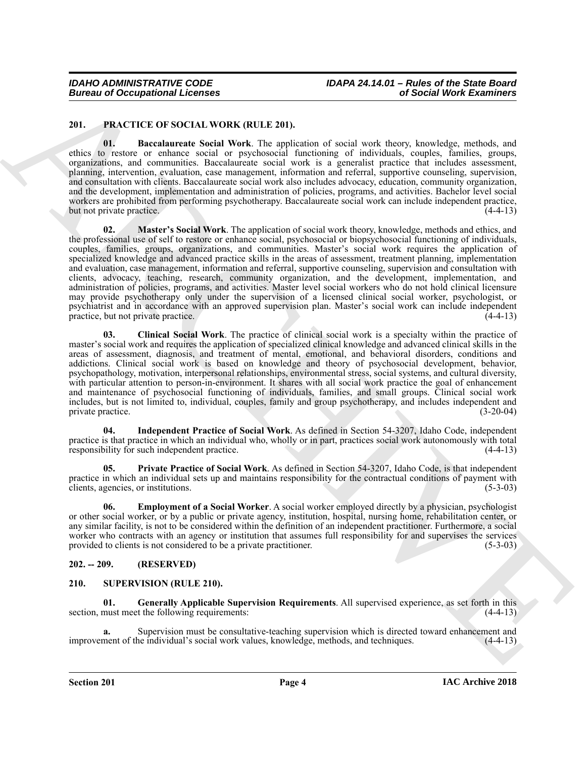#### <span id="page-3-3"></span><span id="page-3-0"></span>**201. PRACTICE OF SOCIAL WORK (RULE 201).**

<span id="page-3-8"></span><span id="page-3-4"></span>**01. Baccalaureate Social Work**. The application of social work theory, knowledge, methods, and ethics to restore or enhance social or psychosocial functioning of individuals, couples, families, groups, organizations, and communities. Baccalaureate social work is a generalist practice that includes assessment, planning, intervention, evaluation, case management, information and referral, supportive counseling, supervision, and consultation with clients. Baccalaureate social work also includes advocacy, education, community organization, and the development, implementation and administration of policies, programs, and activities. Bachelor level social workers are prohibited from performing psychotherapy. Baccalaureate social work can include independent practice, but not private practice. (4-4-13)

Borrow of Occupational Leonies<br>
241. PRACTIC OF OCULA UNIX (RULL 201).<br>
241. PRACTIC OF OCULA UNIX (RULL 201).<br>
241. PRACTIC OF OCULA UNIX (RULL 201).<br>
241. Background and Schwarz Schill West The application of studies an **02. Master's Social Work**. The application of social work theory, knowledge, methods and ethics, and the professional use of self to restore or enhance social, psychosocial or biopsychosocial functioning of individuals, couples, families, groups, organizations, and communities. Master's social work requires the application of specialized knowledge and advanced practice skills in the areas of assessment, treatment planning, implementation and evaluation, case management, information and referral, supportive counseling, supervision and consultation with clients, advocacy, teaching, research, community organization, and the development, implementation, and administration of policies, programs, and activities. Master level social workers who do not hold clinical licensure may provide psychotherapy only under the supervision of a licensed clinical social worker, psychologist, or psychiatrist and in accordance with an approved supervision plan. Master's social work can include independent practice, but not private practice.

<span id="page-3-5"></span>**03. Clinical Social Work**. The practice of clinical social work is a specialty within the practice of master's social work and requires the application of specialized clinical knowledge and advanced clinical skills in the areas of assessment, diagnosis, and treatment of mental, emotional, and behavioral disorders, conditions and addictions. Clinical social work is based on knowledge and theory of psychosocial development, behavior, psychopathology, motivation, interpersonal relationships, environmental stress, social systems, and cultural diversity, with particular attention to person-in-environment. It shares with all social work practice the goal of enhancement and maintenance of psychosocial functioning of individuals, families, and small groups. Clinical social work includes, but is not limited to, individual, couples, family and group psychotherapy, and includes independent and private practice. (3-20-04)

<span id="page-3-7"></span>**04. Independent Practice of Social Work**. As defined in Section 54-3207, Idaho Code, independent practice is that practice in which an individual who, wholly or in part, practices social work autonomously with total responsibility for such independent practice. (4-4-13)

<span id="page-3-9"></span>**05. Private Practice of Social Work**. As defined in Section 54-3207, Idaho Code, is that independent practice in which an individual sets up and maintains responsibility for the contractual conditions of payment with clients, agencies, or institutions. (5-3-03) clients, agencies, or institutions.

<span id="page-3-6"></span>**06. Employment of a Social Worker**. A social worker employed directly by a physician, psychologist or other social worker, or by a public or private agency, institution, hospital, nursing home, rehabilitation center, or any similar facility, is not to be considered within the definition of an independent practitioner. Furthermore, a social worker who contracts with an agency or institution that assumes full responsibility for and supervises the services provided to clients is not considered to be a private practitioner. (5-3-03) provided to clients is not considered to be a private practitioner.

#### <span id="page-3-1"></span>**202. -- 209. (RESERVED)**

#### <span id="page-3-10"></span><span id="page-3-2"></span>**210. SUPERVISION (RULE 210).**

<span id="page-3-11"></span>**01. Generally Applicable Supervision Requirements**. All supervised experience, as set forth in this section, must meet the following requirements: (4-4-13)

**a.** Supervision must be consultative-teaching supervision which is directed toward enhancement and ment of the individual's social work values, knowledge, methods, and techniques. (4-4-13) improvement of the individual's social work values, knowledge, methods, and techniques.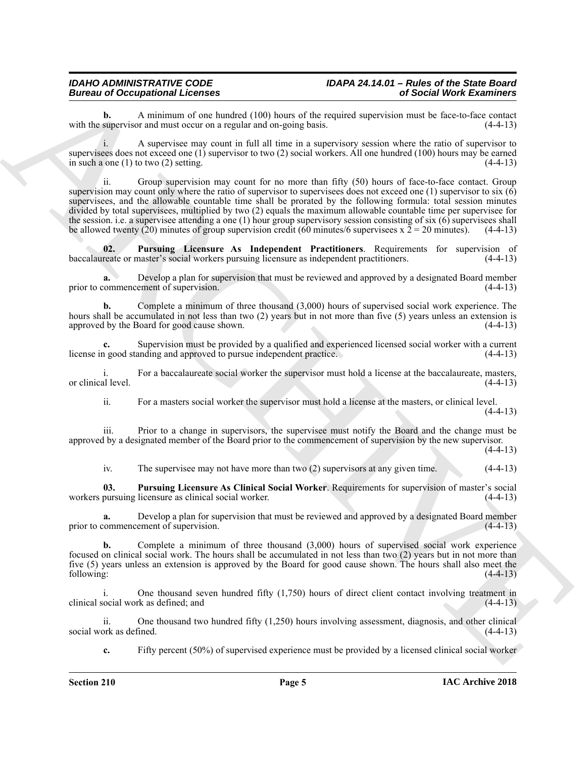**b.** A minimum of one hundred (100) hours of the required supervision must be face-to-face contact supervision and must occur on a regular and on-going basis. (4-4-13) with the supervisor and must occur on a regular and on-going basis.

i. A supervisee may count in full all time in a supervisory session where the ratio of supervisor to supervisees does not exceed one (1) supervisor to two (2) social workers. All one hundred (100) hours may be earned in such a one (1) to two (2) setting.  $(4-4-13)$ 

Bureau of Occupation Attention Control in the space of the random space of Sichari West Exercise<br>
with the upper local manner of the bureau of the space of the random space of the random space of the space of the space of ii. Group supervision may count for no more than fifty (50) hours of face-to-face contact. Group supervision may count only where the ratio of supervisor to supervisees does not exceed one (1) supervisor to six (6) supervisees, and the allowable countable time shall be prorated by the following formula: total session minutes divided by total supervisees, multiplied by two (2) equals the maximum allowable countable time per supervisee for the session. i.e. a supervisee attending a one (1) hour group supervisory session consisting of six (6) supervisees shall<br>be allowed twenty (20) minutes of group supervision credit (60 minutes/6 supervisees  $x 2 = 20$  minu be allowed twenty (20) minutes of group supervision credit (60 minutes/6 supervisees x  $\overline{2} = 20$  minutes).

<span id="page-4-1"></span>**02. Pursuing Licensure As Independent Practitioners**. Requirements for supervision of reate or master's social workers pursuing licensure as independent practitioners. (4-4-13) baccalaureate or master's social workers pursuing licensure as independent practitioners.

**a.** Develop a plan for supervision that must be reviewed and approved by a designated Board member prior to commencement of supervision. (4-4-13)

**b.** Complete a minimum of three thousand (3,000) hours of supervised social work experience. The hours shall be accumulated in not less than two (2) years but in not more than five (5) years unless an extension is approved by the Board for good cause shown. (4-4-13) approved by the Board for good cause shown.

Supervision must be provided by a qualified and experienced licensed social worker with a current anding and approved to pursue independent practice. license in good standing and approved to pursue independent practice.

For a baccalaureate social worker the supervisor must hold a license at the baccalaureate, masters, or clinical level. (4-4-13)

ii. For a masters social worker the supervisor must hold a license at the masters, or clinical level.  $(4-4-13)$ 

iii. Prior to a change in supervisors, the supervisee must notify the Board and the change must be approved by a designated member of the Board prior to the commencement of supervision by the new supervisor.

 $(4-4-13)$ 

<span id="page-4-0"></span>iv. The supervisee may not have more than two (2) supervisors at any given time. (4-4-13)

**03. Pursuing Licensure As Clinical Social Worker**. Requirements for supervision of master's social workers pursuing licensure as clinical social worker. (4-4-13)

**a.** Develop a plan for supervision that must be reviewed and approved by a designated Board member commencement of supervision. (4-4-13) prior to commencement of supervision.

**b.** Complete a minimum of three thousand (3,000) hours of supervised social work experience focused on clinical social work. The hours shall be accumulated in not less than two (2) years but in not more than five (5) years unless an extension is approved by the Board for good cause shown. The hours shall also meet the following: (4-4-13) following: (4-4-13)

i. One thousand seven hundred fifty (1,750) hours of direct client contact involving treatment in clinical social work as defined; and (4-4-13)

ii. One thousand two hundred fifty (1,250) hours involving assessment, diagnosis, and other clinical social work as defined.

**c.** Fifty percent (50%) of supervised experience must be provided by a licensed clinical social worker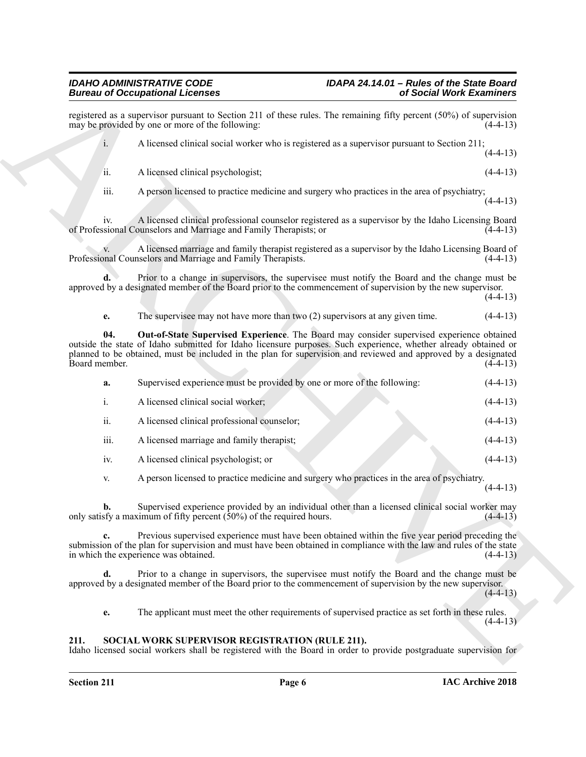Beautiful decreases and the set of the set of the set of the set of the set of the set of the set of the set of the set of the set of the set of the set of the set of the set of the set of the set of the set of the set of registered as a supervisor pursuant to Section 211 of these rules. The remaining fifty percent (50%) of supervision may be provided by one or more of the following: may be provided by one or more of the following: i. A licensed clinical social worker who is registered as a supervisor pursuant to Section 211;  $(4-4-13)$ ii. A licensed clinical psychologist; (4-4-13) iii. A person licensed to practice medicine and surgery who practices in the area of psychiatry;  $(4-4-13)$ iv. A licensed clinical professional counselor registered as a supervisor by the Idaho Licensing Board of Professional Counselors and Marriage and Family Therapists; or v. A licensed marriage and family therapist registered as a supervisor by the Idaho Licensing Board of Professional Counselors and Marriage and Family Therapists. **d.** Prior to a change in supervisors, the supervisee must notify the Board and the change must be approved by a designated member of the Board prior to the commencement of supervision by the new supervisor.  $(4-4-13)$ **e.** The supervisee may not have more than two (2) supervisors at any given time.  $(4-4-13)$ **04. Out-of-State Supervised Experience**. The Board may consider supervised experience obtained outside the state of Idaho submitted for Idaho licensure purposes. Such experience, whether already obtained or planned to be obtained, must be included in the plan for supervision and reviewed and approved by a designated Board member. (4-4-13) **a.** Supervised experience must be provided by one or more of the following: (4-4-13) i. A licensed clinical social worker; (4-4-13) ii. A licensed clinical professional counselor; (4-4-13) iii. A licensed marriage and family therapist; (4-4-13) iv. A licensed clinical psychologist; or (4-4-13) v. A person licensed to practice medicine and surgery who practices in the area of psychiatry.  $(4-4-13)$ 

<span id="page-5-2"></span>**b.** Supervised experience provided by an individual other than a licensed clinical social worker may only satisfy a maximum of fifty percent  $(50\%)$  of the required hours.  $(4-4-13)$ 

**c.** Previous supervised experience must have been obtained within the five year period preceding the submission of the plan for supervision and must have been obtained in compliance with the law and rules of the state in which the experience was obtained. (4-4-13)

**d.** Prior to a change in supervisors, the supervisee must notify the Board and the change must be approved by a designated member of the Board prior to the commencement of supervision by the new supervisor.  $(4-4-13)$ 

<span id="page-5-1"></span>**e.** The applicant must meet the other requirements of supervised practice as set forth in these rules.  $(4-4-13)$ 

#### <span id="page-5-0"></span>**211. SOCIAL WORK SUPERVISOR REGISTRATION (RULE 211).**

Idaho licensed social workers shall be registered with the Board in order to provide postgraduate supervision for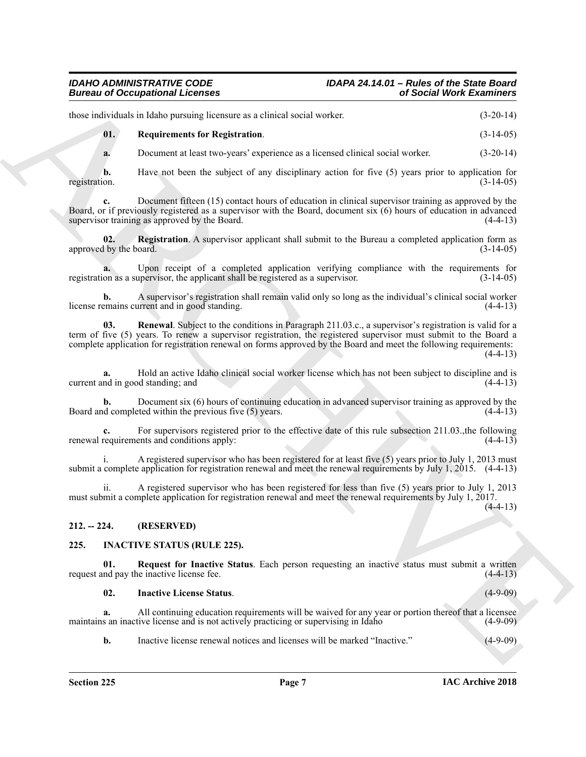# *IDAHO ADMINISTRATIVE CODE IDAPA 24.14.01 – Rules of the State Board*

those individuals in Idaho pursuing licensure as a clinical social worker. (3-20-14)

<span id="page-6-7"></span>**01. Requirements for Registration**. (3-14-05)

**a.** Document at least two-years' experience as a licensed clinical social worker. (3-20-14)

**b.** Have not been the subject of any disciplinary action for five (5) years prior to application for fion.  $(3-14-05)$ registration. (3-14-05)

Document fifteen (15) contact hours of education in clinical supervisor training as approved by the Board, or if previously registered as a supervisor with the Board, document six (6) hours of education in advanced supervisor training as approved by the Board. (4-4-13)

<span id="page-6-5"></span>**02. Registration**. A supervisor applicant shall submit to the Bureau a completed application form as approved by the board. (3-14-05)

**a.** Upon receipt of a completed application verifying compliance with the requirements for registration as a supervisor, the applicant shall be registered as a supervisor. (3-14-05)

<span id="page-6-6"></span>**b.** A supervisor's registration shall remain valid only so long as the individual's clinical social worker license remains current and in good standing. (4-4-13)

Bureau of Occupations I Leonards<br>
those and these properties of the stress of the stress of the stress of the stress of the stress of the stress of the stress of the stress of the stress of the stress of the stress of the **03. Renewal**. Subject to the conditions in Paragraph 211.03.c., a supervisor's registration is valid for a term of five (5) years. To renew a supervisor registration, the registered supervisor must submit to the Board a complete application for registration renewal on forms approved by the Board and meet the following requirements:  $(4-4-13)$ 

**a.** Hold an active Idaho clinical social worker license which has not been subject to discipline and is current and in good standing; and (4-4-13)

**b.** Document six (6) hours of continuing education in advanced supervisor training as approved by the Board and completed within the previous five  $(5)$  years. (4-4-13)

**c.** For supervisors registered prior to the effective date of this rule subsection 211.03., the following requirements and conditions apply:  $(4-4-13)$ renewal requirements and conditions apply:

i. A registered supervisor who has been registered for at least five (5) years prior to July 1, 2013 must submit a complete application for registration renewal and meet the renewal requirements by July 1, 2015. (4-4-13)

ii. A registered supervisor who has been registered for less than five (5) years prior to July 1, 2013 must submit a complete application for registration renewal and meet the renewal requirements by July 1, 2017.

<span id="page-6-0"></span>**212. -- 224. (RESERVED)**

#### <span id="page-6-2"></span><span id="page-6-1"></span>**225. INACTIVE STATUS (RULE 225).**

**01. Request for Inactive Status**. Each person requesting an inactive status must submit a written request and pay the inactive license fee. (4-4-13)

<span id="page-6-4"></span><span id="page-6-3"></span>**02. Inactive License Status**. (4-9-09)

**a.** All continuing education requirements will be waived for any year or portion thereof that a licensee maintains an inactive license and is not actively practicing or supervising in Idaho (4-9-09)

**b.** Inactive license renewal notices and licenses will be marked "Inactive." (4-9-09)

 $(4-4-13)$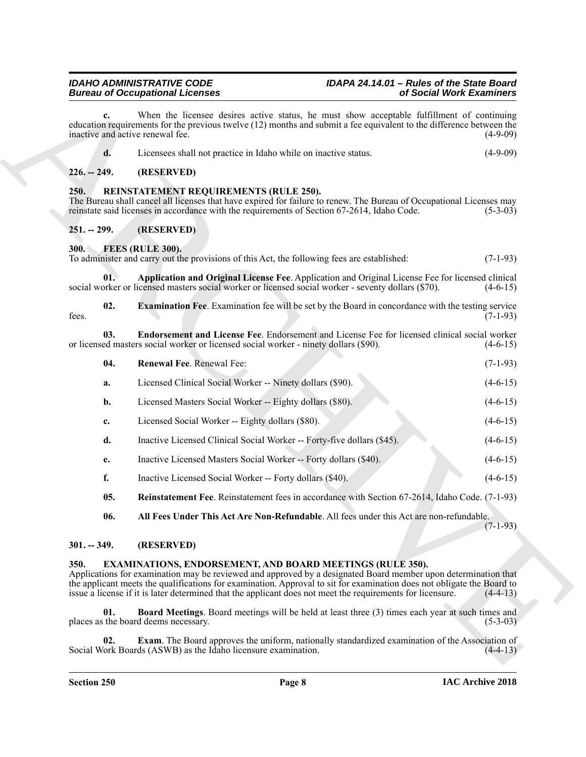# *IDAHO ADMINISTRATIVE CODE IDAPA 24.14.01 – Rules of the State Board*

When the licensee desires active status, he must show acceptable fulfillment of continuing education requirements for the previous twelve (12) months and submit a fee equivalent to the difference between the inactive and active renewal fee. (4-9-09)

| Licensees shall not practice in Idaho while on inactive status. |  |
|-----------------------------------------------------------------|--|
|                                                                 |  |

#### <span id="page-7-0"></span>**226. -- 249. (RESERVED)**

#### <span id="page-7-16"></span><span id="page-7-1"></span>**250. REINSTATEMENT REQUIREMENTS (RULE 250).**

The Bureau shall cancel all licenses that have expired for failure to renew. The Bureau of Occupational Licenses may reinstate said licenses in accordance with the requirements of Section 67-2614, Idaho Code. (5-3-03)

#### <span id="page-7-2"></span>**251. -- 299. (RESERVED)**

<span id="page-7-9"></span><span id="page-7-3"></span>**300. FEES (RULE 300).**

To administer and carry out the provisions of this Act, the following fees are established: (7-1-93)

<span id="page-7-11"></span>**01. Application and Original License Fee**. Application and Original License Fee for licensed clinical social worker or licensed masters social worker or licensed social worker - seventy dollars (\$70). (4-6-15)

<span id="page-7-13"></span>**02. Examination Fee**. Examination fee will be set by the Board in concordance with the testing service (7-1-93) fees.  $(7-1-93)$ 

**03. Endorsement and License Fee**. Endorsement and License Fee for licensed clinical social worker or licensed masters social worker or licensed social worker - ninety dollars (\$90). (4-6-15)

- <span id="page-7-15"></span><span id="page-7-12"></span>**04. Renewal Fee**. Renewal Fee: (7-1-93)
- Bureau of Occupational Licenses<br>
Survey (hence  $\alpha$ ) and the lowest delay relay, relay, and the maximization of Such West Elementary<br>
delay, and the lowest delay relay of the lowest delay and solvential is the equivalence **a.** Licensed Clinical Social Worker -- Ninety dollars (\$90). (4-6-15) **b.** Licensed Masters Social Worker -- Eighty dollars (\$80). (4-6-15) **c.** Licensed Social Worker -- Eighty dollars (\$80). (4-6-15)
	- **d.** Inactive Licensed Clinical Social Worker -- Forty-five dollars (\$45). (4-6-15)
	- **e.** Inactive Licensed Masters Social Worker -- Forty dollars (\$40). (4-6-15)
	- **f.** Inactive Licensed Social Worker -- Forty dollars (\$40). (4-6-15)
	- **05. Reinstatement Fee**. Reinstatement fees in accordance with Section 67-2614, Idaho Code. (7-1-93)

<span id="page-7-14"></span><span id="page-7-10"></span>**06. All Fees Under This Act Are Non-Refundable**. All fees under this Act are non-refundable.

(7-1-93)

#### <span id="page-7-4"></span>**301. -- 349. (RESERVED)**

#### <span id="page-7-6"></span><span id="page-7-5"></span>**350. EXAMINATIONS, ENDORSEMENT, AND BOARD MEETINGS (RULE 350).**

Applications for examination may be reviewed and approved by a designated Board member upon determination that the applicant meets the qualifications for examination. Approval to sit for examination does not obligate the Board to issue a license if it is later determined that the applicant does not meet the requirements for licensure. (4-4-13)

<span id="page-7-7"></span>**01. Board Meetings**. Board meetings will be held at least three (3) times each year at such times and places as the board deems necessary. (5-3-03)

<span id="page-7-8"></span>**Exam.** The Board approves the uniform, nationally standardized examination of the Association of Social Work Boards (ASWB) as the Idaho licensure examination. (4-4-13)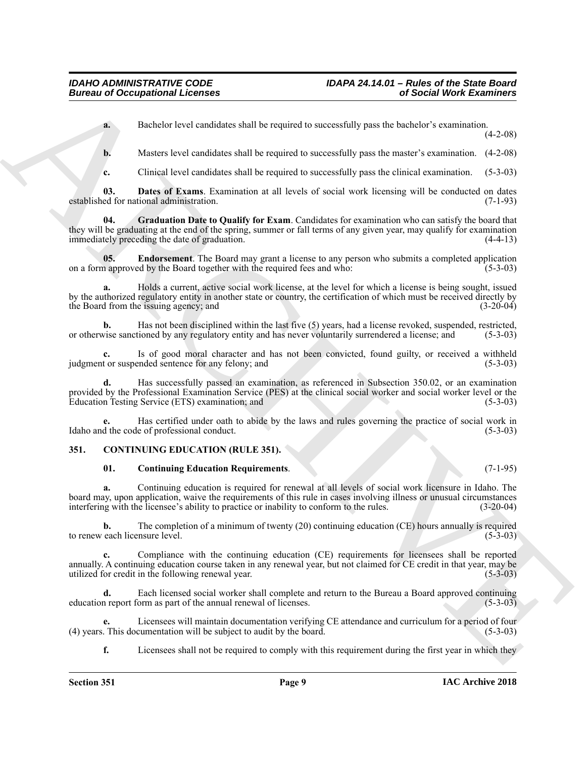**a.** Bachelor level candidates shall be required to successfully pass the bachelor's examination.

(4-2-08)

**b.** Masters level candidates shall be required to successfully pass the master's examination. (4-2-08)

<span id="page-8-5"></span><span id="page-8-3"></span>**c.** Clinical level candidates shall be required to successfully pass the clinical examination. (5-3-03)

**03. Dates of Exams**. Examination at all levels of social work licensing will be conducted on dates established for national administration. (7-1-93)

**04. Graduation Date to Qualify for Exam**. Candidates for examination who can satisfy the board that they will be graduating at the end of the spring, summer or fall terms of any given year, may qualify for examination immediately preceding the date of graduation. (4-4-13)

<span id="page-8-4"></span>**05. Endorsement**. The Board may grant a license to any person who submits a completed application approved by the Board together with the required fees and who: (5-3-03) on a form approved by the Board together with the required fees and who:

**a.** Holds a current, active social work license, at the level for which a license is being sought, issued by the authorized regulatory entity in another state or country, the certification of which must be received directly by the Board from the issuing agency; and (3-20-04)

**b.** Has not been disciplined within the last five (5) years, had a license revoked, suspended, restricted, or otherwise sanctioned by any regulatory entity and has never voluntarily surrendered a license; and (5-3-03)

**c.** Is of good moral character and has not been convicted, found guilty, or received a withheld judgment or suspended sentence for any felony; and (5-3-03)

**d.** Has successfully passed an examination, as referenced in Subsection 350.02, or an examination provided by the Professional Examination Service (PES) at the clinical social worker and social worker level or the<br>Education Testing Service (ETS) examination; and (5-3-03) Education Testing Service (ETS) examination; and

**e.** Has certified under oath to abide by the laws and rules governing the practice of social work in Idaho and the code of professional conduct. (5-3-03)

#### <span id="page-8-0"></span>**351. CONTINUING EDUCATION (RULE 351).**

#### <span id="page-8-2"></span><span id="page-8-1"></span>**01. Continuing Education Requirements**. (7-1-95)

**a.** Continuing education is required for renewal at all levels of social work licensure in Idaho. The board may, upon application, waive the requirements of this rule in cases involving illness or unusual circumstances interfering with the licensee's ability to practice or inability to conform to the rules. (3-20-04)

**b.** The completion of a minimum of twenty (20) continuing education (CE) hours annually is required to renew each licensure level. (5-3-03) (5-3-03)

Bureau of Occupational Licenses<br>
Bureau of Occupational Licenses<br>
Bureau of Controllino shall be required to accountably pass the straight of some<br>  $\mu$ . Distribute local lines to controllino shall be required to accounta **c.** Compliance with the continuing education (CE) requirements for licensees shall be reported annually. A continuing education course taken in any renewal year, but not claimed for CE credit in that year, may be utilized for credit in the following renewal year. (5-3-03)

**d.** Each licensed social worker shall complete and return to the Bureau a Board approved continuing education report form as part of the annual renewal of licenses. (5-3-03)

Licensees will maintain documentation verifying CE attendance and curriculum for a period of four cumentation will be subject to audit by the board. (5-3-03) (4) years. This documentation will be subject to audit by the board.

**f.** Licensees shall not be required to comply with this requirement during the first year in which they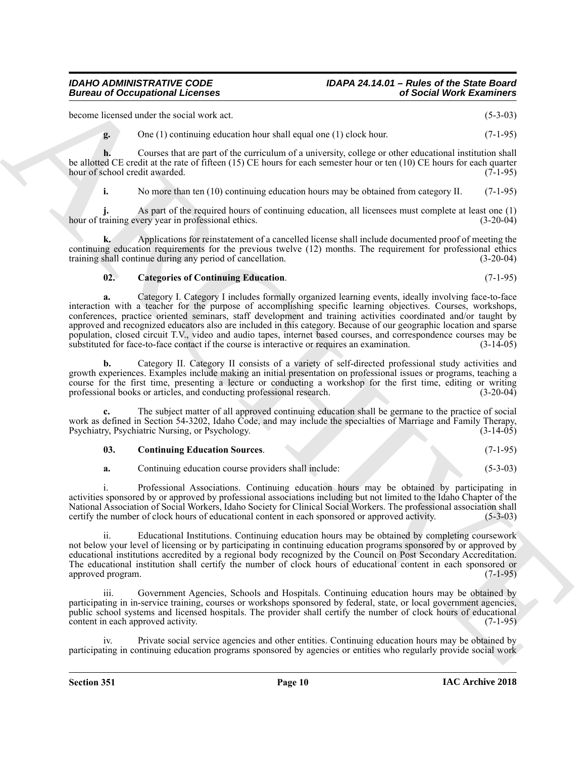become licensed under the social work act. (5-3-03)

**g.** One (1) continuing education hour shall equal one (1) clock hour. (7-1-95)

**h.** Courses that are part of the curriculum of a university, college or other educational institution shall be allotted CE credit at the rate of fifteen (15) CE hours for each semester hour or ten (10) CE hours for each quarter hour of school credit awarded. (7-1-95) hour of school credit awarded.

**i.** No more than ten (10) continuing education hours may be obtained from category II. (7-1-95)

**j.** As part of the required hours of continuing education, all licensees must complete at least one (1) hour of training every year in professional ethics. (3-20-04)

**k.** Applications for reinstatement of a cancelled license shall include documented proof of meeting the continuing education requirements for the previous twelve (12) months. The requirement for professional ethics training shall continue during any period of cancellation. (3-20-04)

#### <span id="page-9-0"></span>**02. Categories of Continuing Education**. (7-1-95)

Bureau of Occupations of Lebenson<br>
Level and the state of the state of the state of the state of the state of the state of the state of the state of the state of the state of the state of the state of the state of the sta **a.** Category I. Category I includes formally organized learning events, ideally involving face-to-face interaction with a teacher for the purpose of accomplishing specific learning objectives. Courses, workshops, conferences, practice oriented seminars, staff development and training activities coordinated and/or taught by approved and recognized educators also are included in this category. Because of our geographic location and sparse population, closed circuit T.V., video and audio tapes, internet based courses, and correspondence courses may be substituted for face-to-face contact if the course is interactive or requires an examination. (3-14-05)

**b.** Category II. Category II consists of a variety of self-directed professional study activities and growth experiences. Examples include making an initial presentation on professional issues or programs, teaching a course for the first time, presenting a lecture or conducting a workshop for the first time, editing or writing professional books or articles, and conducting professional research. (3-20-04)

**c.** The subject matter of all approved continuing education shall be germane to the practice of social work as defined in Section 54-3202, Idaho Code, and may include the specialties of Marriage and Family Therapy, Psychiatry, Psychiatric Nursing, or Psychology. (3-14-05)

<span id="page-9-1"></span>

| 03. | <b>Continuing Education Sources.</b> |  |  | $(7-1-95)$ |
|-----|--------------------------------------|--|--|------------|
|-----|--------------------------------------|--|--|------------|

**a.** Continuing education course providers shall include: (5-3-03)

i. Professional Associations. Continuing education hours may be obtained by participating in activities sponsored by or approved by professional associations including but not limited to the Idaho Chapter of the National Association of Social Workers, Idaho Society for Clinical Social Workers. The professional association shall certify the number of clock hours of educational content in each sponsored or approved activity. (5-3-03)

ii. Educational Institutions. Continuing education hours may be obtained by completing coursework not below your level of licensing or by participating in continuing education programs sponsored by or approved by educational institutions accredited by a regional body recognized by the Council on Post Secondary Accreditation. The educational institution shall certify the number of clock hours of educational content in each sponsored or approved program. (7-1-95) approved program.

iii. Government Agencies, Schools and Hospitals. Continuing education hours may be obtained by participating in in-service training, courses or workshops sponsored by federal, state, or local government agencies, public school systems and licensed hospitals. The provider shall certify the number of clock hours of educational content in each approved activity. (7-1-95)

Private social service agencies and other entities. Continuing education hours may be obtained by participating in continuing education programs sponsored by agencies or entities who regularly provide social work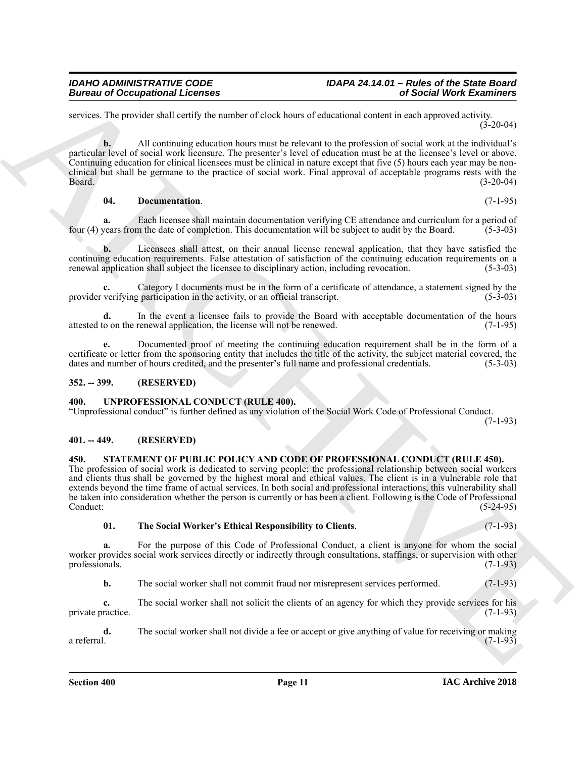services. The provider shall certify the number of clock hours of educational content in each approved activity.  $(3-20-04)$ 

Bureau of Occupations I Leonics<br>
There were total User Marchines with the same of the same of the same of the same of the same of the same of the same of the same of the same of the same of the same of the same of the sam **b.** All continuing education hours must be relevant to the profession of social work at the individual's particular level of social work licensure. The presenter's level of education must be at the licensee's level or above. Continuing education for clinical licensees must be clinical in nature except that five (5) hours each year may be nonclinical but shall be germane to the practice of social work. Final approval of acceptable programs rests with the Board. (3-20-04)

<span id="page-10-4"></span>**04. Documentation**. (7-1-95)

**a.** Each licensee shall maintain documentation verifying CE attendance and curriculum for a period of vears from the date of completion. This documentation will be subject to audit by the Board. (5-3-03) four (4) years from the date of completion. This documentation will be subject to audit by the Board.

**b.** Licensees shall attest, on their annual license renewal application, that they have satisfied the continuing education requirements. False attestation of satisfaction of the continuing education requirements on a renewal application shall subject the licensee to disciplinary action, including revocation. (5-3-03) renewal application shall subject the licensee to disciplinary action, including revocation.

**c.** Category I documents must be in the form of a certificate of attendance, a statement signed by the verifying participation in the activity, or an official transcript. (5-3-03) provider verifying participation in the activity, or an official transcript.

**d.** In the event a licensee fails to provide the Board with acceptable documentation of the hours o on the renewal application, the license will not be renewed. (7-1-95) attested to on the renewal application, the license will not be renewed.

**e.** Documented proof of meeting the continuing education requirement shall be in the form of a certificate or letter from the sponsoring entity that includes the title of the activity, the subject material covered, the dates and number of hours credited, and the presenter's full name and professional credentials. (5-3-03)

#### <span id="page-10-0"></span>**352. -- 399. (RESERVED)**

#### <span id="page-10-7"></span><span id="page-10-1"></span>**400. UNPROFESSIONAL CONDUCT (RULE 400).**

"Unprofessional conduct" is further defined as any violation of the Social Work Code of Professional Conduct. (7-1-93)

<span id="page-10-2"></span>**401. -- 449. (RESERVED)**

#### <span id="page-10-5"></span><span id="page-10-3"></span>**450. STATEMENT OF PUBLIC POLICY AND CODE OF PROFESSIONAL CONDUCT (RULE 450).**

The profession of social work is dedicated to serving people; the professional relationship between social workers and clients thus shall be governed by the highest moral and ethical values. The client is in a vulnerable role that extends beyond the time frame of actual services. In both social and professional interactions, this vulnerability shall be taken into consideration whether the person is currently or has been a client. Following is the Code of Professional Conduct: (5-24-95)

<span id="page-10-6"></span>**01. The Social Worker's Ethical Responsibility to Clients**. (7-1-93)

**a.** For the purpose of this Code of Professional Conduct, a client is anyone for whom the social worker provides social work services directly or indirectly through consultations, staffings, or supervision with other professionals. (7-1-93)

**b.** The social worker shall not commit fraud nor misrepresent services performed. (7-1-93)

**c.** The social worker shall not solicit the clients of an agency for which they provide services for his private practice. (7-1-93)

**d.** The social worker shall not divide a fee or accept or give anything of value for receiving or making a referral. (7-1-93) a referral. (7-1-93)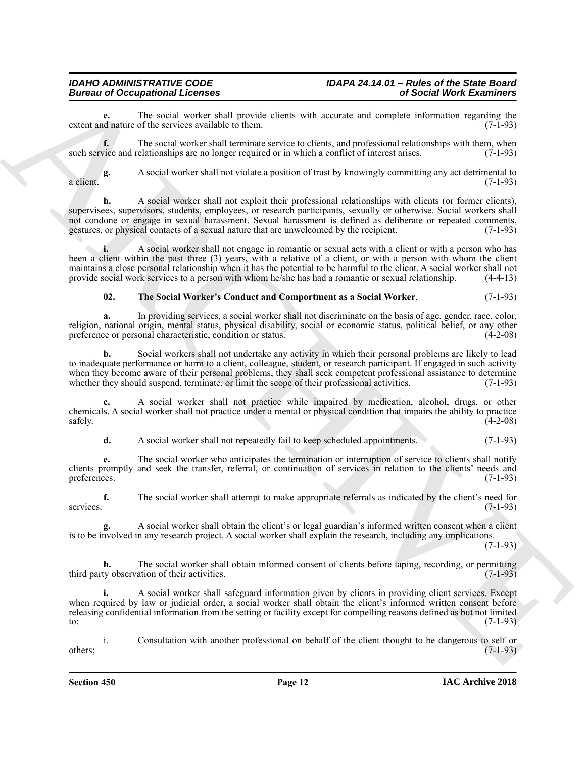**e.** The social worker shall provide clients with accurate and complete information regarding the district of the services available to them. extent and nature of the services available to them.

**f.** The social worker shall terminate service to clients, and professional relationships with them, when such service and relationships are no longer required or in which a conflict of interest arises. (7-1-93)

**g.** A social worker shall not violate a position of trust by knowingly committing any act detrimental to a client. (7-1-93)

Bureau of Cocalistic Learning and the projections of the state of the state of the state of the state of the state of the state of the state of the state of the state of the state of the state of the state of the state of **h.** A social worker shall not exploit their professional relationships with clients (or former clients). supervisees, supervisors, students, employees, or research participants, sexually or otherwise. Social workers shall not condone or engage in sexual harassment. Sexual harassment is defined as deliberate or repeated comments, gestures, or physical contacts of a sexual nature that are unwelcomed by the recipient. (7-1-93) gestures, or physical contacts of a sexual nature that are unwelcomed by the recipient.

**i.** A social worker shall not engage in romantic or sexual acts with a client or with a person who has been a client within the past three (3) years, with a relative of a client, or with a person with whom the client maintains a close personal relationship when it has the potential to be harmful to the client. A social worker shall not provide social work services to a person with whom he/she has had a romantic or sexual relationship. (4-4-13)

#### <span id="page-11-0"></span>**02. The Social Worker's Conduct and Comportment as a Social Worker**. (7-1-93)

**a.** In providing services, a social worker shall not discriminate on the basis of age, gender, race, color, religion, national origin, mental status, physical disability, social or economic status, political belief, or any other preference or personal characteristic, condition or status. (4-2-08)

**b.** Social workers shall not undertake any activity in which their personal problems are likely to lead to inadequate performance or harm to a client, colleague, student, or research participant. If engaged in such activity when they become aware of their personal problems, they shall seek competent professional assistance to determine whether they should suspend, terminate, or limit the scope of their professional activities. (7-1-93)

**c.** A social worker shall not practice while impaired by medication, alcohol, drugs, or other chemicals. A social worker shall not practice under a mental or physical condition that impairs the ability to practice  $\frac{1}{4-2-08}$ 

**d.** A social worker shall not repeatedly fail to keep scheduled appointments. (7-1-93)

**e.** The social worker who anticipates the termination or interruption of service to clients shall notify clients promptly and seek the transfer, referral, or continuation of services in relation to the clients' needs and preferences.  $(7-1-93)$ 

**f.** The social worker shall attempt to make appropriate referrals as indicated by the client's need for services. (7-1-93)

**g.** A social worker shall obtain the client's or legal guardian's informed written consent when a client is to be involved in any research project. A social worker shall explain the research, including any implications.

(7-1-93)

**h.** The social worker shall obtain informed consent of clients before taping, recording, or permitting third party observation of their activities. (7-1-93)

**i.** A social worker shall safeguard information given by clients in providing client services. Except when required by law or judicial order, a social worker shall obtain the client's informed written consent before releasing confidential information from the setting or facility except for compelling reasons defined as but not limited to:  $(7-1-93)$ 

i. Consultation with another professional on behalf of the client thought to be dangerous to self or  $\omega$  others;  $(7-1-93)$ 

**Section 450 Page 12**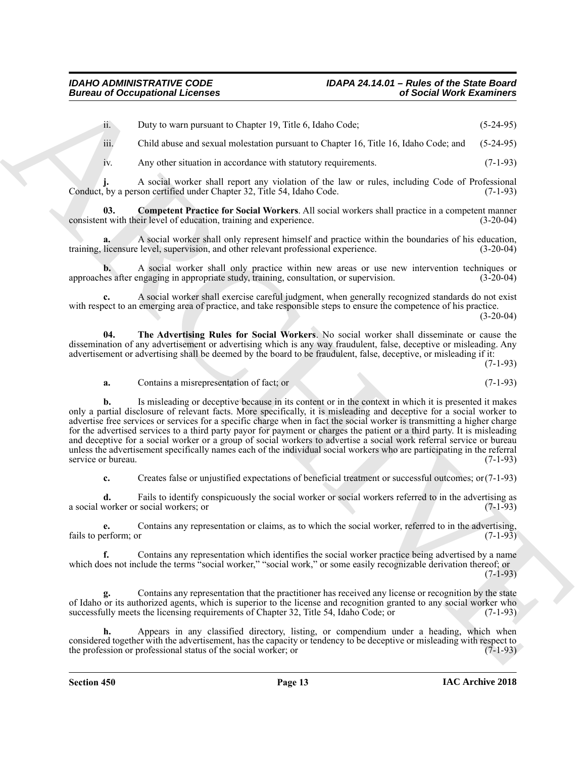ii. Duty to warn pursuant to Chapter 19, Title 6, Idaho Code; (5-24-95)

iii. Child abuse and sexual molestation pursuant to Chapter 16, Title 16, Idaho Code; and (5-24-95)

<span id="page-12-0"></span>iv. Any other situation in accordance with statutory requirements. (7-1-93)

**j.** A social worker shall report any violation of the law or rules, including Code of Professional Conduct, by a person certified under Chapter 32, Title 54, Idaho Code. (7-1-93)

**03. Competent Practice for Social Workers**. All social workers shall practice in a competent manner consistent with their level of education, training and experience. (3-20-04)

**a.** A social worker shall only represent himself and practice within the boundaries of his education, training, licensure level, supervision, and other relevant professional experience. (3-20-04)

**b.** A social worker shall only practice within new areas or use new intervention techniques or approaches after engaging in appropriate study, training, consultation, or supervision. (3-20-04)

**c.** A social worker shall exercise careful judgment, when generally recognized standards do not exist with respect to an emerging area of practice, and take responsible steps to ensure the competence of his practice.

(3-20-04)

**04. The Advertising Rules for Social Workers**. No social worker shall disseminate or cause the dissemination of any advertisement or advertising which is any way fraudulent, false, deceptive or misleading. Any advertisement or advertising shall be deemed by the board to be fraudulent, false, deceptive, or misleading if it:

(7-1-93)

<span id="page-12-1"></span>**a.** Contains a misrepresentation of fact; or (7-1-93)

Bureau of Occupations I Leonics<br>
in Distribution 1988<br>
in the University and the University Press Control in the S. Robert Co. This is A balan Code; and (5 24-83)<br>
in Calibration and control in the University and the Univ **b.** Is misleading or deceptive because in its content or in the context in which it is presented it makes only a partial disclosure of relevant facts. More specifically, it is misleading and deceptive for a social worker to advertise free services or services for a specific charge when in fact the social worker is transmitting a higher charge for the advertised services to a third party payor for payment or charges the patient or a third party. It is misleading and deceptive for a social worker or a group of social workers to advertise a social work referral service or bureau unless the advertisement specifically names each of the individual social workers who are participating in the referral service or bureau. (7-1-93)

**c.** Creates false or unjustified expectations of beneficial treatment or successful outcomes; or(7-1-93)

**d.** Fails to identify conspicuously the social worker or social workers referred to in the advertising as a social worker or social workers; or (7-1-93)

**e.** Contains any representation or claims, as to which the social worker, referred to in the advertising, fails to perform; or  $(7-1-93)$ 

**f.** Contains any representation which identifies the social worker practice being advertised by a name which does not include the terms "social worker," "social work," or some easily recognizable derivation thereof; or (7-1-93)

**g.** Contains any representation that the practitioner has received any license or recognition by the state of Idaho or its authorized agents, which is superior to the license and recognition granted to any social worker who successfully meets the licensing requirements of Chapter 32, Title 54, Idaho Code; or (7-1-93)

**h.** Appears in any classified directory, listing, or compendium under a heading, which when considered together with the advertisement, has the capacity or tendency to be deceptive or misleading with respect to the profession or professional status of the social worker; or (7-1-93)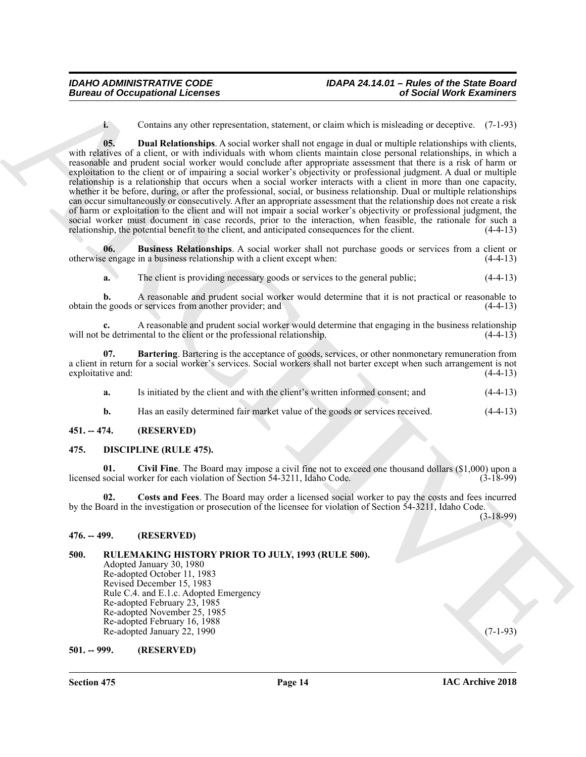<span id="page-13-10"></span>**i.** Contains any other representation, statement, or claim which is misleading or deceptive. (7-1-93)

Bureau of Occupational Leonies<br>
1. Constitute representative, distinctive representative, distinctive representative representative of the constrained of distinction<br>
1. Constitutional intervention of the constitution of **05. Dual Relationships**. A social worker shall not engage in dual or multiple relationships with clients, with relatives of a client, or with individuals with whom clients maintain close personal relationships, in which a reasonable and prudent social worker would conclude after appropriate assessment that there is a risk of harm or exploitation to the client or of impairing a social worker's objectivity or professional judgment. A dual or multiple relationship is a relationship that occurs when a social worker interacts with a client in more than one capacity, whether it be before, during, or after the professional, social, or business relationship. Dual or multiple relationships can occur simultaneously or consecutively. After an appropriate assessment that the relationship does not create a risk of harm or exploitation to the client and will not impair a social worker's objectivity or professional judgment, the social worker must document in case records, prior to the interaction, when feasible, the rationale for such a relationship, the potential benefit to the client, and anticipated consequences for the client. (4-4-13) relationship, the potential benefit to the client, and anticipated consequences for the client.

**06. Business Relationships**. A social worker shall not purchase goods or services from a client or otherwise engage in a business relationship with a client except when: (4-4-13)

<span id="page-13-9"></span>**a.** The client is providing necessary goods or services to the general public;  $(4-4-13)$ 

**b.** A reasonable and prudent social worker would determine that it is not practical or reasonable to obtain the goods or services from another provider; and (4-4-13)

**c.** A reasonable and prudent social worker would determine that engaging in the business relationship will not be detrimental to the client or the professional relationship.  $(4-4-13)$ 

**07. Bartering**. Bartering is the acceptance of goods, services, or other nonmonetary remuneration from a client in return for a social worker's services. Social workers shall not barter except when such arrangement is not exploitative and:

<span id="page-13-8"></span>**a.** Is initiated by the client and with the client's written informed consent; and (4-4-13)

<span id="page-13-6"></span><span id="page-13-5"></span>**b.** Has an easily determined fair market value of the goods or services received. (4-4-13)

#### <span id="page-13-0"></span>**451. -- 474. (RESERVED)**

#### <span id="page-13-1"></span>**475. DISCIPLINE (RULE 475).**

**01. Civil Fine**. The Board may impose a civil fine not to exceed one thousand dollars (\$1,000) upon a licensed social worker for each violation of Section 54-3211, Idaho Code. (3-18-99)

<span id="page-13-7"></span>**02. Costs and Fees**. The Board may order a licensed social worker to pay the costs and fees incurred by the Board in the investigation or prosecution of the licensee for violation of Section 54-3211, Idaho Code.

(3-18-99)

#### <span id="page-13-2"></span>**476. -- 499. (RESERVED)**

### <span id="page-13-3"></span>**500. RULEMAKING HISTORY PRIOR TO JULY, 1993 (RULE 500).**

Adopted January 30, 1980 Re-adopted October 11, 1983 Revised December 15, 1983 Rule C.4. and E.1.c. Adopted Emergency Re-adopted February 23, 1985 Re-adopted November 25, 1985 Re-adopted February 16, 1988 Re-adopted January 22, 1990 (7-1-93)

#### <span id="page-13-4"></span>**501. -- 999. (RESERVED)**